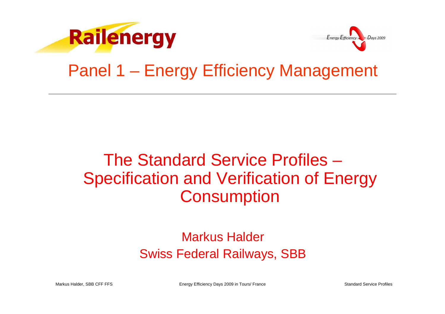



### Panel 1 – Energy Efficiency Management

## The Standard Service Profiles – Specification and Verification of Energy **Consumption**

### Markus Halder Swiss Federal Railways, SBB

Markus Halder, SBB CFF FFS

Energy Efficiency Days 2009 in Tours/ France Standard Service Profiles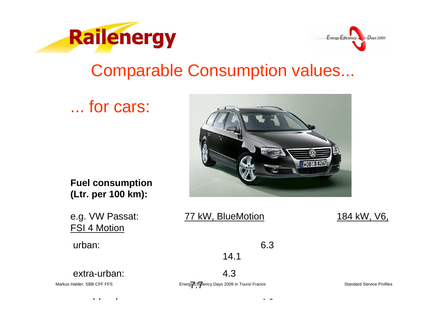



# Comparable Consumption values...

## ... for cars:



**Fuel consumption (Ltr. per 100 km):**

FSI 4 Motion

urban: 6.3

e.g. VW Passat: 77 kW, BlueMotion

#### 184 kW, V6,

14.1

#### extra-urban: 4.3

**combined:**

Markus Halder, SBB CFF FFS

Energy Efficiency Days 2009 in Tours/ France **Standard Service Profiles** Standard Service Profiles

**4.9 4.9 4.9 4.9 4.9 4.9 4.9 4.9 4.9 4.9 4.9 4.9 4.9 4.9 4.9**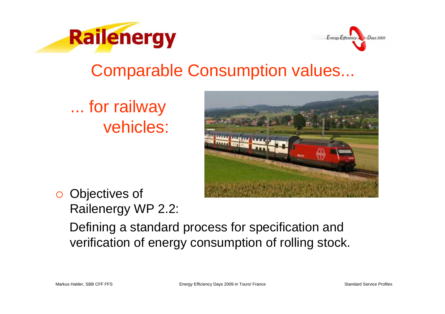



# Comparable Consumption values...

... for railway vehicles:



o Objectives of Railenergy WP 2.2:

> Defining a standard process for specification and verification of energy consumption of rolling stock.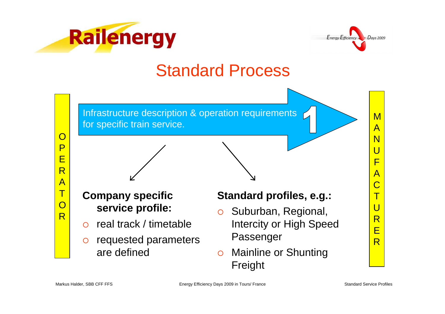



M

A

N

U

F

A

C

T

U

R

E

R

## Standard Process

Infrastructure description & operation requirementsfor specific train service.

#### **Company specific service profile:**

- $\bigcirc$ real track / timetable
- $\circ$  requested parameters are defined

#### **Standard profiles, e.g.:**

- $\overline{O}$  Suburban, Regional, Intercity or High Speed Passenger
- $\circ$  Mainline or Shunting Freight

O

P

E

R

A

T

O

R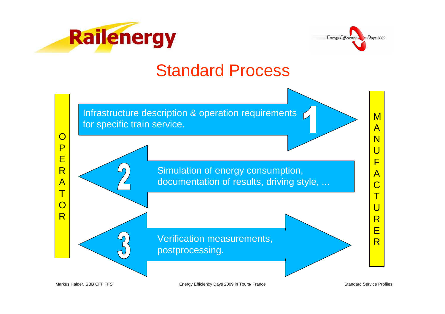



### Standard Process



Energy Efficiency Days 2009 in Tours/ France Standard Service Profiles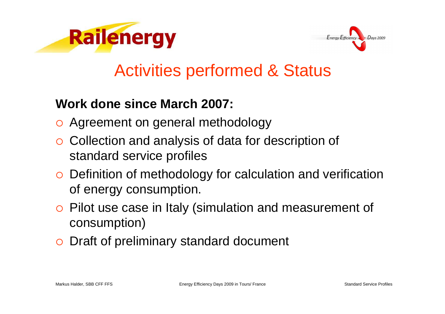



## Activities performed & Status

### **Work done since March 2007:**

- o Agreement on general methodology
- o Collection and analysis of data for description of standard service profiles
- o Definition of methodology for calculation and verification of energy consumption.
- o Pilot use case in Italy (simulation and measurement of consumption)
- o Draft of preliminary standard document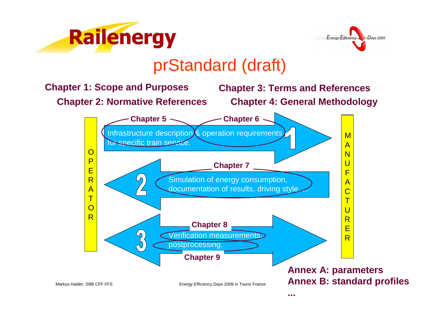



# prStandard (draft)

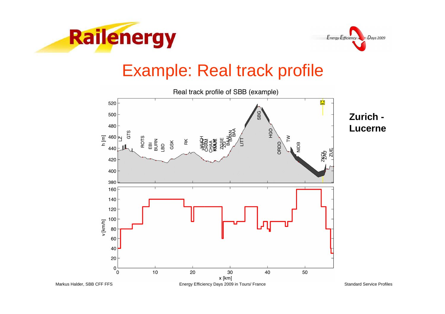



### Example: Real track profile

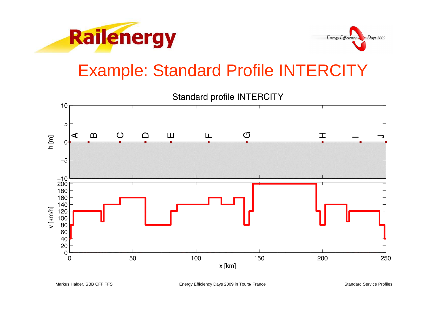



# Example: Standard Profile INTERCITY



Markus Halder, SBB CFF FFS

Energy Efficiency Days 2009 in Tours/ France Standard Service Profiles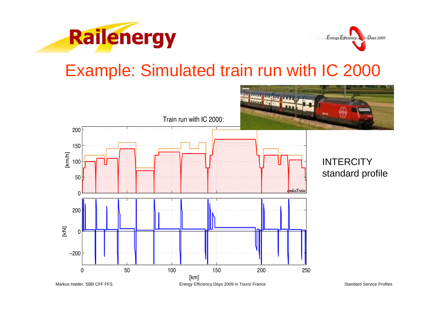



# Example: Simulated train run with IC 2000

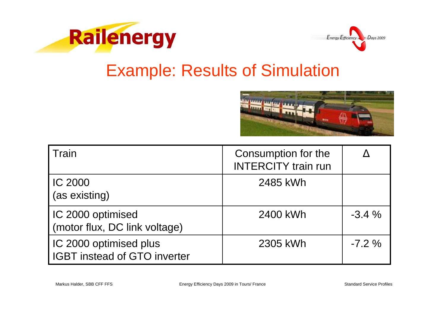



# Example: Results of Simulation



| Train                                                         | Consumption for the<br><b>INTERCITY</b> train run |          |
|---------------------------------------------------------------|---------------------------------------------------|----------|
| <b>IC 2000</b><br>(as existing)                               | 2485 kWh                                          |          |
| IC 2000 optimised<br>(motor flux, DC link voltage)            | 2400 kWh                                          | $-3.4%$  |
| IC 2000 optimised plus<br><b>IGBT instead of GTO inverter</b> | 2305 kWh                                          | $-7.2\%$ |